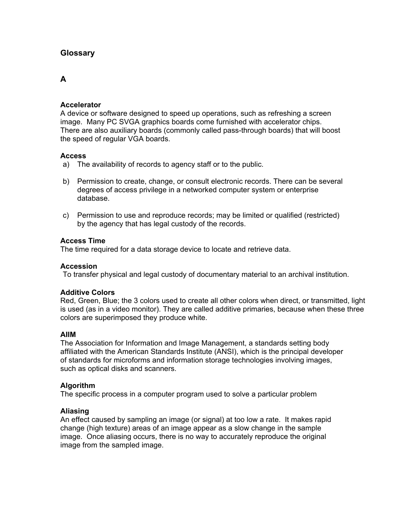# **Glossary**

# **A**

# **Accelerator**

A device or software designed to speed up operations, such as refreshing a screen image. Many PC SVGA graphics boards come furnished with accelerator chips. There are also auxiliary boards (commonly called pass-through boards) that will boost the speed of regular VGA boards.

### **Access**

- a) The availability of records to agency staff or to the public.
- b) Permission to create, change, or consult electronic records. There can be several degrees of access privilege in a networked computer system or enterprise database.
- c) Permission to use and reproduce records; may be limited or qualified (restricted) by the agency that has legal custody of the records.

### **Access Time**

The time required for a data storage device to locate and retrieve data.

# **Accession**

To transfer physical and legal custody of documentary material to an archival institution.

# **Additive Colors**

Red, Green, Blue; the 3 colors used to create all other colors when direct, or transmitted, light is used (as in a video monitor). They are called additive primaries, because when these three colors are superimposed they produce white.

# **AIIM**

The Association for Information and Image Management, a standards setting body affiliated with the American Standards Institute (ANSI), which is the principal developer of standards for microforms and information storage technologies involving images, such as optical disks and scanners.

# **Algorithm**

The specific process in a computer program used to solve a particular problem

# **Aliasing**

An effect caused by sampling an image (or signal) at too low a rate. It makes rapid change (high texture) areas of an image appear as a slow change in the sample image. Once aliasing occurs, there is no way to accurately reproduce the original image from the sampled image.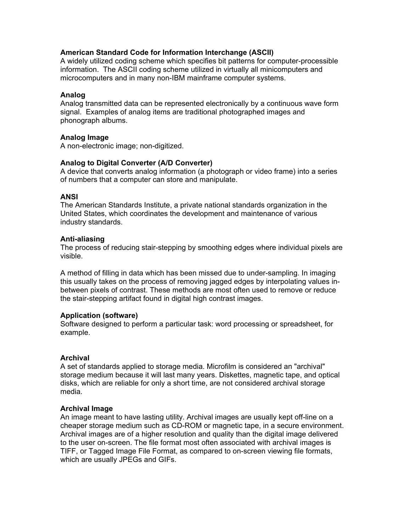# **American Standard Code for Information Interchange (ASCII)**

A widely utilized coding scheme which specifies bit patterns for computer-processible information. The ASCII coding scheme utilized in virtually all minicomputers and microcomputers and in many non-IBM mainframe computer systems.

### **Analog**

Analog transmitted data can be represented electronically by a continuous wave form signal. Examples of analog items are traditional photographed images and phonograph albums.

### **Analog Image**

A non-electronic image; non-digitized.

# **Analog to Digital Converter (A/D Converter)**

A device that converts analog information (a photograph or video frame) into a series of numbers that a computer can store and manipulate.

### **ANSI**

The American Standards Institute, a private national standards organization in the United States, which coordinates the development and maintenance of various industry standards.

### **Anti-aliasing**

The process of reducing stair-stepping by smoothing edges where individual pixels are visible.

A method of filling in data which has been missed due to under-sampling. In imaging this usually takes on the process of removing jagged edges by interpolating values inbetween pixels of contrast. These methods are most often used to remove or reduce the stair-stepping artifact found in digital high contrast images.

### **Application (software)**

Software designed to perform a particular task: word processing or spreadsheet, for example.

### **Archival**

A set of standards applied to storage media. Microfilm is considered an "archival" storage medium because it will last many years. Diskettes, magnetic tape, and optical disks, which are reliable for only a short time, are not considered archival storage media.

# **Archival Image**

An image meant to have lasting utility. Archival images are usually kept off-line on a cheaper storage medium such as CD-ROM or magnetic tape, in a secure environment. Archival images are of a higher resolution and quality than the digital image delivered to the user on-screen. The file format most often associated with archival images is TIFF, or Tagged Image File Format, as compared to on-screen viewing file formats, which are usually JPEGs and GIFs.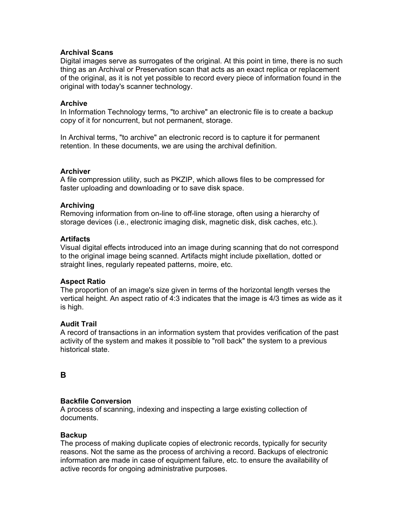# **Archival Scans**

Digital images serve as surrogates of the original. At this point in time, there is no such thing as an Archival or Preservation scan that acts as an exact replica or replacement of the original, as it is not yet possible to record every piece of information found in the original with today's scanner technology.

### **Archive**

In Information Technology terms, "to archive" an electronic file is to create a backup copy of it for noncurrent, but not permanent, storage.

In Archival terms, "to archive" an electronic record is to capture it for permanent retention. In these documents, we are using the archival definition.

### **Archiver**

A file compression utility, such as PKZIP, which allows files to be compressed for faster uploading and downloading or to save disk space.

### **Archiving**

Removing information from on-line to off-line storage, often using a hierarchy of storage devices (i.e., electronic imaging disk, magnetic disk, disk caches, etc.).

### **Artifacts**

Visual digital effects introduced into an image during scanning that do not correspond to the original image being scanned. Artifacts might include pixellation, dotted or straight lines, regularly repeated patterns, moire, etc.

# **Aspect Ratio**

The proportion of an image's size given in terms of the horizontal length verses the vertical height. An aspect ratio of 4:3 indicates that the image is 4/3 times as wide as it is high.

# **Audit Trail**

A record of transactions in an information system that provides verification of the past activity of the system and makes it possible to "roll back" the system to a previous historical state.

# **B**

# **Backfile Conversion**

A process of scanning, indexing and inspecting a large existing collection of documents.

### **Backup**

The process of making duplicate copies of electronic records, typically for security reasons. Not the same as the process of archiving a record. Backups of electronic information are made in case of equipment failure, etc. to ensure the availability of active records for ongoing administrative purposes.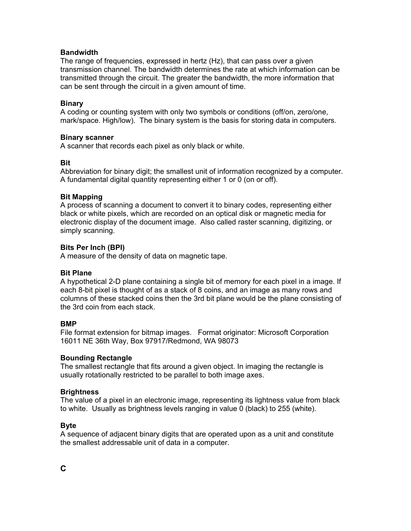# **Bandwidth**

The range of frequencies, expressed in hertz (Hz), that can pass over a given transmission channel. The bandwidth determines the rate at which information can be transmitted through the circuit. The greater the bandwidth, the more information that can be sent through the circuit in a given amount of time.

### **Binary**

A coding or counting system with only two symbols or conditions (off/on, zero/one, mark/space. High/low). The binary system is the basis for storing data in computers.

### **Binary scanner**

A scanner that records each pixel as only black or white.

### **Bit**

Abbreviation for binary digit; the smallest unit of information recognized by a computer. A fundamental digital quantity representing either 1 or 0 (on or off).

### **Bit Mapping**

A process of scanning a document to convert it to binary codes, representing either black or white pixels, which are recorded on an optical disk or magnetic media for electronic display of the document image. Also called raster scanning, digitizing, or simply scanning.

### **Bits Per Inch (BPI)**

A measure of the density of data on magnetic tape.

### **Bit Plane**

A hypothetical 2-D plane containing a single bit of memory for each pixel in a image. If each 8-bit pixel is thought of as a stack of 8 coins, and an image as many rows and columns of these stacked coins then the 3rd bit plane would be the plane consisting of the 3rd coin from each stack.

### **BMP**

File format extension for bitmap images. Format originator: Microsoft Corporation 16011 NE 36th Way, Box 97917/Redmond, WA 98073

### **Bounding Rectangle**

The smallest rectangle that fits around a given object. In imaging the rectangle is usually rotationally restricted to be parallel to both image axes.

### **Brightness**

The value of a pixel in an electronic image, representing its lightness value from black to white. Usually as brightness levels ranging in value 0 (black) to 255 (white).

### **Byte**

A sequence of adjacent binary digits that are operated upon as a unit and constitute the smallest addressable unit of data in a computer.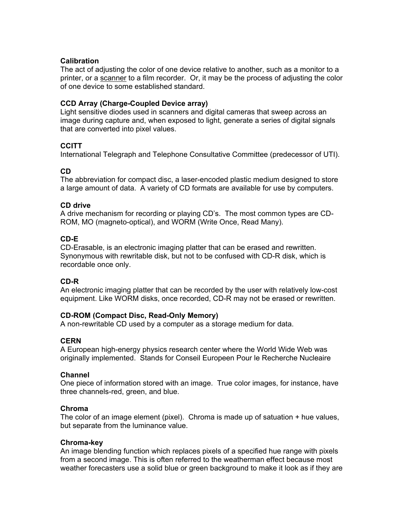### **Calibration**

The act of adjusting the color of one device relative to another, such as a monitor to a printer, or a scanner to a film recorder. Or, it may be the process of adjusting the color of one device to some established standard.

# **CCD Array (Charge-Coupled Device array)**

Light sensitive diodes used in scanners and digital cameras that sweep across an image during capture and, when exposed to light, generate a series of digital signals that are converted into pixel values.

# **CCITT**

International Telegraph and Telephone Consultative Committee (predecessor of UTI).

# **CD**

The abbreviation for compact disc, a laser-encoded plastic medium designed to store a large amount of data. A variety of CD formats are available for use by computers.

### **CD drive**

A drive mechanism for recording or playing CD's. The most common types are CD-ROM, MO (magneto-optical), and WORM (Write Once, Read Many).

# **CD-E**

CD-Erasable, is an electronic imaging platter that can be erased and rewritten. Synonymous with rewritable disk, but not to be confused with CD-R disk, which is recordable once only.

# **CD-R**

An electronic imaging platter that can be recorded by the user with relatively low-cost equipment. Like WORM disks, once recorded, CD-R may not be erased or rewritten.

# **CD-ROM (Compact Disc, Read-Only Memory)**

A non-rewritable CD used by a computer as a storage medium for data.

# **CERN**

A European high-energy physics research center where the World Wide Web was originally implemented. Stands for Conseil Europeen Pour le Recherche Nucleaire

# **Channel**

One piece of information stored with an image. True color images, for instance, have three channels-red, green, and blue.

# **Chroma**

The color of an image element (pixel). Chroma is made up of satuation + hue values, but separate from the luminance value.

### **Chroma-key**

An image blending function which replaces pixels of a specified hue range with pixels from a second image. This is often referred to the weatherman effect because most weather forecasters use a solid blue or green background to make it look as if they are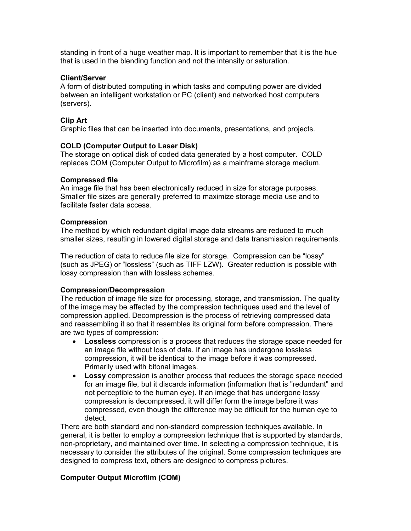standing in front of a huge weather map. It is important to remember that it is the hue that is used in the blending function and not the intensity or saturation.

#### **Client/Server**

A form of distributed computing in which tasks and computing power are divided between an intelligent workstation or PC (client) and networked host computers (servers).

### **Clip Art**

Graphic files that can be inserted into documents, presentations, and projects.

### **COLD (Computer Output to Laser Disk)**

The storage on optical disk of coded data generated by a host computer. COLD replaces COM (Computer Output to Microfilm) as a mainframe storage medium.

### **Compressed file**

An image file that has been electronically reduced in size for storage purposes. Smaller file sizes are generally preferred to maximize storage media use and to facilitate faster data access.

### **Compression**

The method by which redundant digital image data streams are reduced to much smaller sizes, resulting in lowered digital storage and data transmission requirements.

The reduction of data to reduce file size for storage. Compression can be "lossy" (such as JPEG) or "lossless" (such as TIFF LZW). Greater reduction is possible with lossy compression than with lossless schemes.

### **Compression/Decompression**

The reduction of image file size for processing, storage, and transmission. The quality of the image may be affected by the compression techniques used and the level of compression applied. Decompression is the process of retrieving compressed data and reassembling it so that it resembles its original form before compression. There are two types of compression:

- **Lossless** compression is a process that reduces the storage space needed for an image file without loss of data. If an image has undergone lossless compression, it will be identical to the image before it was compressed. Primarily used with bitonal images.
- **Lossy** compression is another process that reduces the storage space needed for an image file, but it discards information (information that is "redundant" and not perceptible to the human eye). If an image that has undergone lossy compression is decompressed, it will differ form the image before it was compressed, even though the difference may be difficult for the human eye to detect.

There are both standard and non-standard compression techniques available. In general, it is better to employ a compression technique that is supported by standards, non-proprietary, and maintained over time. In selecting a compression technique, it is necessary to consider the attributes of the original. Some compression techniques are designed to compress text, others are designed to compress pictures.

### **Computer Output Microfilm (COM)**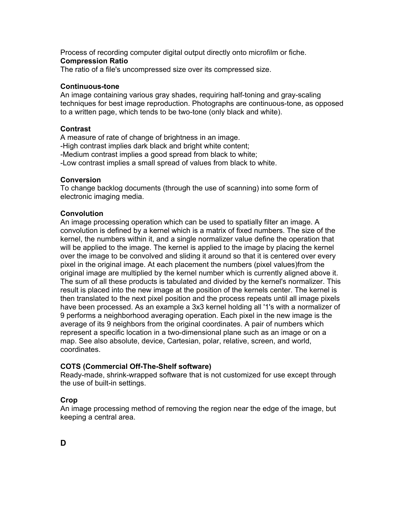Process of recording computer digital output directly onto microfilm or fiche. **Compression Ratio** 

The ratio of a file's uncompressed size over its compressed size.

# **Continuous-tone**

An image containing various gray shades, requiring half-toning and gray-scaling techniques for best image reproduction. Photographs are continuous-tone, as opposed to a written page, which tends to be two-tone (only black and white).

# **Contrast**

A measure of rate of change of brightness in an image. -High contrast implies dark black and bright white content; -Medium contrast implies a good spread from black to white; -Low contrast implies a small spread of values from black to white.

### **Conversion**

To change backlog documents (through the use of scanning) into some form of electronic imaging media.

### **Convolution**

An image processing operation which can be used to spatially filter an image. A convolution is defined by a kernel which is a matrix of fixed numbers. The size of the kernel, the numbers within it, and a single normalizer value define the operation that will be applied to the image. The kernel is applied to the image by placing the kernel over the image to be convolved and sliding it around so that it is centered over every pixel in the original image. At each placement the numbers (pixel values)from the original image are multiplied by the kernel number which is currently aligned above it. The sum of all these products is tabulated and divided by the kernel's normalizer. This result is placed into the new image at the position of the kernels center. The kernel is then translated to the next pixel position and the process repeats until all image pixels have been processed. As an example a 3x3 kernel holding all '1's with a normalizer of 9 performs a neighborhood averaging operation. Each pixel in the new image is the average of its 9 neighbors from the original coordinates. A pair of numbers which represent a specific location in a two-dimensional plane such as an image or on a map. See also absolute, device, Cartesian, polar, relative, screen, and world, coordinates.

# **COTS (Commercial Off-The-Shelf software)**

Ready-made, shrink-wrapped software that is not customized for use except through the use of built-in settings.

# **Crop**

An image processing method of removing the region near the edge of the image, but keeping a central area.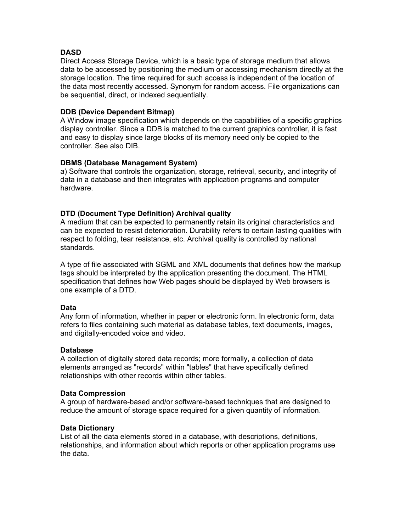# **DASD**

Direct Access Storage Device, which is a basic type of storage medium that allows data to be accessed by positioning the medium or accessing mechanism directly at the storage location. The time required for such access is independent of the location of the data most recently accessed. Synonym for random access. File organizations can be sequential, direct, or indexed sequentially.

### **DDB (Device Dependent Bitmap)**

A Window image specification which depends on the capabilities of a specific graphics display controller. Since a DDB is matched to the current graphics controller, it is fast and easy to display since large blocks of its memory need only be copied to the controller. See also DIB.

### **DBMS (Database Management System)**

a) Software that controls the organization, storage, retrieval, security, and integrity of data in a database and then integrates with application programs and computer hardware.

# **DTD (Document Type Definition) Archival quality**

A medium that can be expected to permanently retain its original characteristics and can be expected to resist deterioration. Durability refers to certain lasting qualities with respect to folding, tear resistance, etc. Archival quality is controlled by national standards.

A type of file associated with SGML and XML documents that defines how the markup tags should be interpreted by the application presenting the document. The HTML specification that defines how Web pages should be displayed by Web browsers is one example of a DTD.

### **Data**

Any form of information, whether in paper or electronic form. In electronic form, data refers to files containing such material as database tables, text documents, images, and digitally-encoded voice and video.

### **Database**

A collection of digitally stored data records; more formally, a collection of data elements arranged as "records" within "tables" that have specifically defined relationships with other records within other tables.

### **Data Compression**

A group of hardware-based and/or software-based techniques that are designed to reduce the amount of storage space required for a given quantity of information.

# **Data Dictionary**

List of all the data elements stored in a database, with descriptions, definitions, relationships, and information about which reports or other application programs use the data.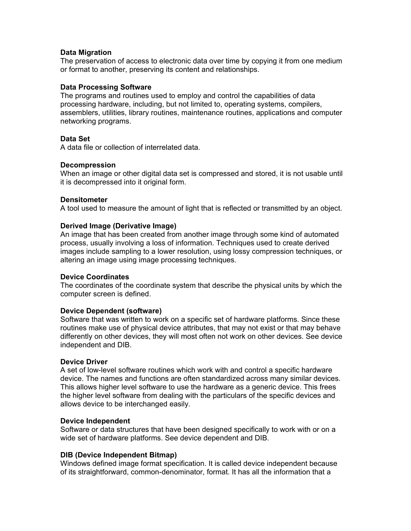### **Data Migration**

The preservation of access to electronic data over time by copying it from one medium or format to another, preserving its content and relationships.

### **Data Processing Software**

The programs and routines used to employ and control the capabilities of data processing hardware, including, but not limited to, operating systems, compilers, assemblers, utilities, library routines, maintenance routines, applications and computer networking programs.

# **Data Set**

A data file or collection of interrelated data.

### **Decompression**

When an image or other digital data set is compressed and stored, it is not usable until it is decompressed into it original form.

### **Densitometer**

A tool used to measure the amount of light that is reflected or transmitted by an object.

### **Derived Image (Derivative Image)**

An image that has been created from another image through some kind of automated process, usually involving a loss of information. Techniques used to create derived images include sampling to a lower resolution, using lossy compression techniques, or altering an image using image processing techniques.

### **Device Coordinates**

The coordinates of the coordinate system that describe the physical units by which the computer screen is defined.

### **Device Dependent (software)**

Software that was written to work on a specific set of hardware platforms. Since these routines make use of physical device attributes, that may not exist or that may behave differently on other devices, they will most often not work on other devices. See device independent and DIB.

### **Device Driver**

A set of low-level software routines which work with and control a specific hardware device. The names and functions are often standardized across many similar devices. This allows higher level software to use the hardware as a generic device. This frees the higher level software from dealing with the particulars of the specific devices and allows device to be interchanged easily.

### **Device Independent**

Software or data structures that have been designed specifically to work with or on a wide set of hardware platforms. See device dependent and DIB.

### **DIB (Device Independent Bitmap)**

Windows defined image format specification. It is called device independent because of its straightforward, common-denominator, format. It has all the information that a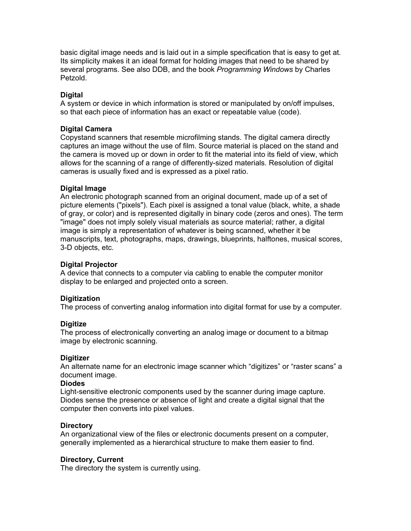basic digital image needs and is laid out in a simple specification that is easy to get at. Its simplicity makes it an ideal format for holding images that need to be shared by several programs. See also DDB, and the book *Programming Windows* by Charles Petzold.

### **Digital**

A system or device in which information is stored or manipulated by on/off impulses, so that each piece of information has an exact or repeatable value (code).

### **Digital Camera**

Copystand scanners that resemble microfilming stands. The digital camera directly captures an image without the use of film. Source material is placed on the stand and the camera is moved up or down in order to fit the material into its field of view, which allows for the scanning of a range of differently-sized materials. Resolution of digital cameras is usually fixed and is expressed as a pixel ratio.

### **Digital Image**

An electronic photograph scanned from an original document, made up of a set of picture elements ("pixels"). Each pixel is assigned a tonal value (black, white, a shade of gray, or color) and is represented digitally in binary code (zeros and ones). The term "image" does not imply solely visual materials as source material; rather, a digital image is simply a representation of whatever is being scanned, whether it be manuscripts, text, photographs, maps, drawings, blueprints, halftones, musical scores, 3-D objects, etc.

### **Digital Projector**

A device that connects to a computer via cabling to enable the computer monitor display to be enlarged and projected onto a screen.

# **Digitization**

The process of converting analog information into digital format for use by a computer.

### **Digitize**

The process of electronically converting an analog image or document to a bitmap image by electronic scanning.

### **Digitizer**

An alternate name for an electronic image scanner which "digitizes" or "raster scans" a document image.

# **Diodes**

Light-sensitive electronic components used by the scanner during image capture. Diodes sense the presence or absence of light and create a digital signal that the computer then converts into pixel values.

### **Directory**

An organizational view of the files or electronic documents present on a computer, generally implemented as a hierarchical structure to make them easier to find.

### **Directory, Current**

The directory the system is currently using.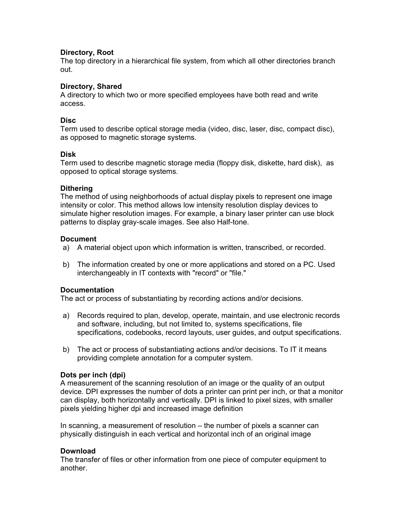### **Directory, Root**

The top directory in a hierarchical file system, from which all other directories branch out.

### **Directory, Shared**

A directory to which two or more specified employees have both read and write access.

### **Disc**

Term used to describe optical storage media (video, disc, laser, disc, compact disc), as opposed to magnetic storage systems.

### **Disk**

Term used to describe magnetic storage media (floppy disk, diskette, hard disk), as opposed to optical storage systems.

### **Dithering**

The method of using neighborhoods of actual display pixels to represent one image intensity or color. This method allows low intensity resolution display devices to simulate higher resolution images. For example, a binary laser printer can use block patterns to display gray-scale images. See also Half-tone.

### **Document**

- a) A material object upon which information is written, transcribed, or recorded.
- b) The information created by one or more applications and stored on a PC. Used interchangeably in IT contexts with "record" or "file."

### **Documentation**

The act or process of substantiating by recording actions and/or decisions.

- a) Records required to plan, develop, operate, maintain, and use electronic records and software, including, but not limited to, systems specifications, file specifications, codebooks, record layouts, user guides, and output specifications.
- b) The act or process of substantiating actions and/or decisions. To IT it means providing complete annotation for a computer system.

# **Dots per inch (dpi)**

A measurement of the scanning resolution of an image or the quality of an output device. DPI expresses the number of dots a printer can print per inch, or that a monitor can display, both horizontally and vertically. DPI is linked to pixel sizes, with smaller pixels yielding higher dpi and increased image definition

In scanning, a measurement of resolution – the number of pixels a scanner can physically distinguish in each vertical and horizontal inch of an original image

# **Download**

The transfer of files or other information from one piece of computer equipment to another.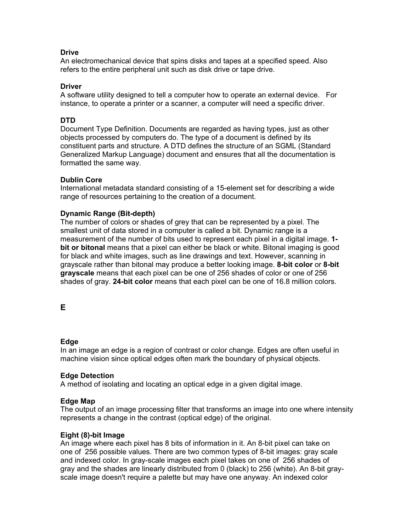# **Drive**

An electromechanical device that spins disks and tapes at a specified speed. Also refers to the entire peripheral unit such as disk drive or tape drive.

### **Driver**

A software utility designed to tell a computer how to operate an external device. For instance, to operate a printer or a scanner, a computer will need a specific driver.

# **DTD**

Document Type Definition. Documents are regarded as having types, just as other objects processed by computers do. The type of a document is defined by its constituent parts and structure. A DTD defines the structure of an SGML (Standard Generalized Markup Language) document and ensures that all the documentation is formatted the same way.

### **Dublin Core**

International metadata standard consisting of a 15-element set for describing a wide range of resources pertaining to the creation of a document.

### **Dynamic Range (Bit-depth)**

The number of colors or shades of grey that can be represented by a pixel. The smallest unit of data stored in a computer is called a bit. Dynamic range is a measurement of the number of bits used to represent each pixel in a digital image. **1 bit or bitonal** means that a pixel can either be black or white. Bitonal imaging is good for black and white images, such as line drawings and text. However, scanning in grayscale rather than bitonal may produce a better looking image. **8-bit color** or **8-bit grayscale** means that each pixel can be one of 256 shades of color or one of 256 shades of gray. **24-bit color** means that each pixel can be one of 16.8 million colors.

**E** 

# **Edge**

In an image an edge is a region of contrast or color change. Edges are often useful in machine vision since optical edges often mark the boundary of physical objects.

# **Edge Detection**

A method of isolating and locating an optical edge in a given digital image.

### **Edge Map**

The output of an image processing filter that transforms an image into one where intensity represents a change in the contrast (optical edge) of the original.

### **Eight (8)-bit Image**

An image where each pixel has 8 bits of information in it. An 8-bit pixel can take on one of 256 possible values. There are two common types of 8-bit images: gray scale and indexed color. In gray-scale images each pixel takes on one of 256 shades of gray and the shades are linearly distributed from 0 (black) to 256 (white). An 8-bit grayscale image doesn't require a palette but may have one anyway. An indexed color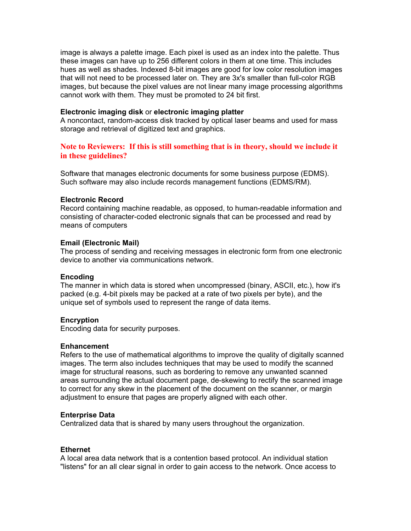image is always a palette image. Each pixel is used as an index into the palette. Thus these images can have up to 256 different colors in them at one time. This includes hues as well as shades. Indexed 8-bit images are good for low color resolution images that will not need to be processed later on. They are 3x's smaller than full-color RGB images, but because the pixel values are not linear many image processing algorithms cannot work with them. They must be promoted to 24 bit first.

#### **Electronic imaging disk** or **electronic imaging platter**

A noncontact, random-access disk tracked by optical laser beams and used for mass storage and retrieval of digitized text and graphics.

# **Note to Reviewers: If this is still something that is in theory, should we include it in these guidelines?**

Software that manages electronic documents for some business purpose (EDMS). Such software may also include records management functions (EDMS/RM).

#### **Electronic Record**

Record containing machine readable, as opposed, to human-readable information and consisting of character-coded electronic signals that can be processed and read by means of computers

### **Email (Electronic Mail)**

The process of sending and receiving messages in electronic form from one electronic device to another via communications network.

### **Encoding**

The manner in which data is stored when uncompressed (binary, ASCII, etc.), how it's packed (e.g. 4-bit pixels may be packed at a rate of two pixels per byte), and the unique set of symbols used to represent the range of data items.

#### **Encryption**

Encoding data for security purposes.

#### **Enhancement**

Refers to the use of mathematical algorithms to improve the quality of digitally scanned images. The term also includes techniques that may be used to modify the scanned image for structural reasons, such as bordering to remove any unwanted scanned areas surrounding the actual document page, de-skewing to rectify the scanned image to correct for any skew in the placement of the document on the scanner, or margin adjustment to ensure that pages are properly aligned with each other.

#### **Enterprise Data**

Centralized data that is shared by many users throughout the organization.

### **Ethernet**

A local area data network that is a contention based protocol. An individual station "listens" for an all clear signal in order to gain access to the network. Once access to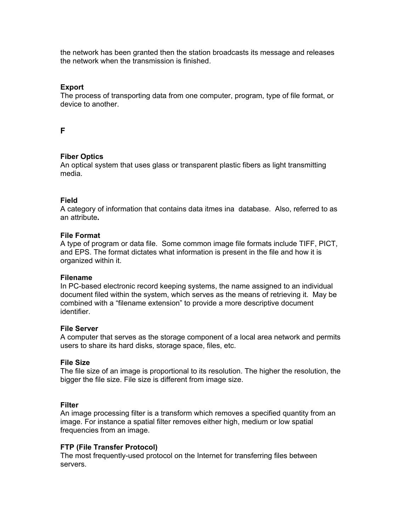the network has been granted then the station broadcasts its message and releases the network when the transmission is finished.

### **Export**

The process of transporting data from one computer, program, type of file format, or device to another.

# **F**

### **Fiber Optics**

An optical system that uses glass or transparent plastic fibers as light transmitting media.

### **Field**

A category of information that contains data itmes ina database. Also, referred to as an attribute**.** 

### **File Format**

A type of program or data file. Some common image file formats include TIFF, PICT, and EPS. The format dictates what information is present in the file and how it is organized within it.

### **Filename**

In PC-based electronic record keeping systems, the name assigned to an individual document filed within the system, which serves as the means of retrieving it. May be combined with a "filename extension" to provide a more descriptive document identifier.

### **File Server**

A computer that serves as the storage component of a local area network and permits users to share its hard disks, storage space, files, etc.

### **File Size**

The file size of an image is proportional to its resolution. The higher the resolution, the bigger the file size. File size is different from image size.

### **Filter**

An image processing filter is a transform which removes a specified quantity from an image. For instance a spatial filter removes either high, medium or low spatial frequencies from an image.

### **FTP (File Transfer Protocol)**

The most frequently-used protocol on the Internet for transferring files between servers.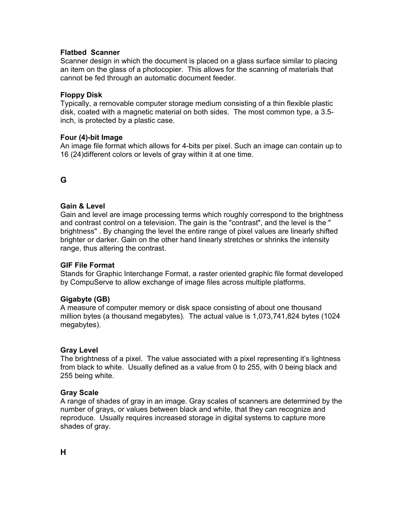# **Flatbed Scanner**

Scanner design in which the document is placed on a glass surface similar to placing an item on the glass of a photocopier. This allows for the scanning of materials that cannot be fed through an automatic document feeder.

# **Floppy Disk**

Typically, a removable computer storage medium consisting of a thin flexible plastic disk, coated with a magnetic material on both sides. The most common type, a 3.5 inch, is protected by a plastic case.

### **Four (4)-bit Image**

An image file format which allows for 4-bits per pixel. Such an image can contain up to 16 (24)different colors or levels of gray within it at one time.

# **G**

# **Gain & Level**

Gain and level are image processing terms which roughly correspond to the brightness and contrast control on a television. The gain is the "contrast", and the level is the " brightness" . By changing the level the entire range of pixel values are linearly shifted brighter or darker. Gain on the other hand linearly stretches or shrinks the intensity range, thus altering the contrast.

### **GIF File Format**

Stands for Graphic Interchange Format, a raster oriented graphic file format developed by CompuServe to allow exchange of image files across multiple platforms.

### **Gigabyte (GB)**

A measure of computer memory or disk space consisting of about one thousand million bytes (a thousand megabytes). The actual value is 1,073,741,824 bytes (1024 megabytes).

### **Gray Level**

The brightness of a pixel. The value associated with a pixel representing it's lightness from black to white. Usually defined as a value from 0 to 255, with 0 being black and 255 being white.

### **Gray Scale**

A range of shades of gray in an image. Gray scales of scanners are determined by the number of grays, or values between black and white, that they can recognize and reproduce. Usually requires increased storage in digital systems to capture more shades of gray.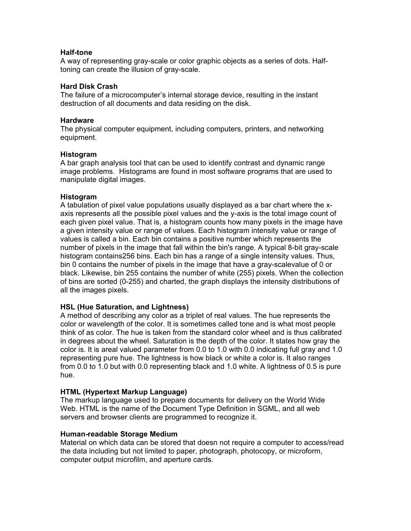### **Half-tone**

A way of representing gray-scale or color graphic objects as a series of dots. Halftoning can create the illusion of gray-scale.

### **Hard Disk Crash**

The failure of a microcomputer's internal storage device, resulting in the instant destruction of all documents and data residing on the disk.

#### **Hardware**

The physical computer equipment, including computers, printers, and networking equipment.

### **Histogram**

A bar graph analysis tool that can be used to identify contrast and dynamic range image problems. Histograms are found in most software programs that are used to manipulate digital images.

### **Histogram**

A tabulation of pixel value populations usually displayed as a bar chart where the xaxis represents all the possible pixel values and the y-axis is the total image count of each given pixel value. That is, a histogram counts how many pixels in the image have a given intensity value or range of values. Each histogram intensity value or range of values is called a bin. Each bin contains a positive number which represents the number of pixels in the image that fall within the bin's range. A typical 8-bit gray-scale histogram contains256 bins. Each bin has a range of a single intensity values. Thus, bin 0 contains the number of pixels in the image that have a gray-scalevalue of 0 or black. Likewise, bin 255 contains the number of white (255) pixels. When the collection of bins are sorted (0-255) and charted, the graph displays the intensity distributions of all the images pixels.

### **HSL (Hue Saturation, and Lightness)**

A method of describing any color as a triplet of real values. The hue represents the color or wavelength of the color. It is sometimes called tone and is what most people think of as color. The hue is taken from the standard color wheel and is thus calibrated in degrees about the wheel. Saturation is the depth of the color. It states how gray the color is. It is areal valued parameter from 0.0 to 1.0 with 0.0 indicating full gray and 1.0 representing pure hue. The lightness is how black or white a color is. It also ranges from 0.0 to 1.0 but with 0.0 representing black and 1.0 white. A lightness of 0.5 is pure hue.

### **HTML (Hypertext Markup Language)**

The markup language used to prepare documents for delivery on the World Wide Web. HTML is the name of the Document Type Definition in SGML, and all web servers and browser clients are programmed to recognize it.

### **Human-readable Storage Medium**

Material on which data can be stored that doesn not require a computer to access/read the data including but not limited to paper, photograph, photocopy, or microform, computer output microfilm, and aperture cards.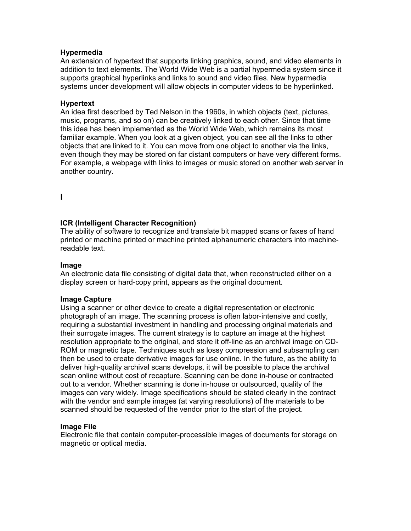### **Hypermedia**

An extension of hypertext that supports linking graphics, sound, and video elements in addition to text elements. The World Wide Web is a partial hypermedia system since it supports graphical hyperlinks and links to sound and video files. New hypermedia systems under development will allow objects in computer videos to be hyperlinked.

### **Hypertext**

An idea first described by Ted Nelson in the 1960s, in which objects (text, pictures, music, programs, and so on) can be creatively linked to each other. Since that time this idea has been implemented as the World Wide Web, which remains its most familiar example. When you look at a given object, you can see all the links to other objects that are linked to it. You can move from one object to another via the links, even though they may be stored on far distant computers or have very different forms. For example, a webpage with links to images or music stored on another web server in another country.

**I** 

### **ICR (Intelligent Character Recognition)**

The ability of software to recognize and translate bit mapped scans or faxes of hand printed or machine printed or machine printed alphanumeric characters into machinereadable text.

### **Image**

An electronic data file consisting of digital data that, when reconstructed either on a display screen or hard-copy print, appears as the original document.

### **Image Capture**

Using a scanner or other device to create a digital representation or electronic photograph of an image. The scanning process is often labor-intensive and costly, requiring a substantial investment in handling and processing original materials and their surrogate images. The current strategy is to capture an image at the highest resolution appropriate to the original, and store it off-line as an archival image on CD-ROM or magnetic tape. Techniques such as lossy compression and subsampling can then be used to create derivative images for use online. In the future, as the ability to deliver high-quality archival scans develops, it will be possible to place the archival scan online without cost of recapture. Scanning can be done in-house or contracted out to a vendor. Whether scanning is done in-house or outsourced, quality of the images can vary widely. Image specifications should be stated clearly in the contract with the vendor and sample images (at varying resolutions) of the materials to be scanned should be requested of the vendor prior to the start of the project.

### **Image File**

Electronic file that contain computer-processible images of documents for storage on magnetic or optical media.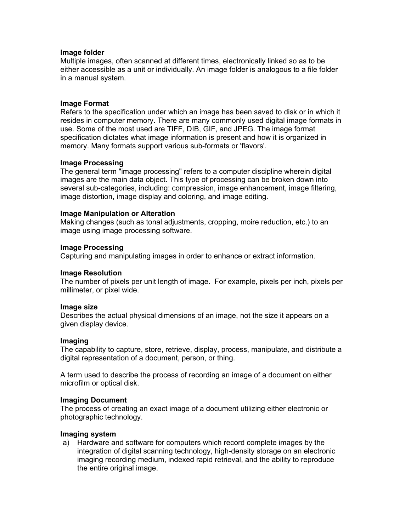#### **Image folder**

Multiple images, often scanned at different times, electronically linked so as to be either accessible as a unit or individually. An image folder is analogous to a file folder in a manual system.

#### **Image Format**

Refers to the specification under which an image has been saved to disk or in which it resides in computer memory. There are many commonly used digital image formats in use. Some of the most used are TIFF, DIB, GIF, and JPEG. The image format specification dictates what image information is present and how it is organized in memory. Many formats support various sub-formats or 'flavors'.

#### **Image Processing**

The general term "image processing" refers to a computer discipline wherein digital images are the main data object. This type of processing can be broken down into several sub-categories, including: compression, image enhancement, image filtering, image distortion, image display and coloring, and image editing.

#### **Image Manipulation or Alteration**

Making changes (such as tonal adjustments, cropping, moire reduction, etc.) to an image using image processing software.

#### **Image Processing**

Capturing and manipulating images in order to enhance or extract information.

### **Image Resolution**

The number of pixels per unit length of image. For example, pixels per inch, pixels per millimeter, or pixel wide.

#### **Image size**

Describes the actual physical dimensions of an image, not the size it appears on a given display device.

#### **Imaging**

The capability to capture, store, retrieve, display, process, manipulate, and distribute a digital representation of a document, person, or thing.

A term used to describe the process of recording an image of a document on either microfilm or optical disk.

#### **Imaging Document**

The process of creating an exact image of a document utilizing either electronic or photographic technology.

#### **Imaging system**

a) Hardware and software for computers which record complete images by the integration of digital scanning technology, high-density storage on an electronic imaging recording medium, indexed rapid retrieval, and the ability to reproduce the entire original image.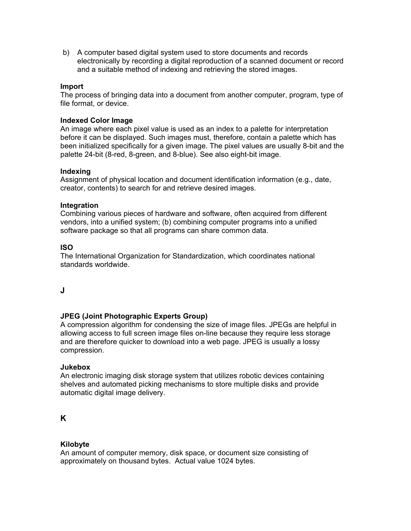b) A computer based digital system used to store documents and records electronically by recording a digital reproduction of a scanned document or record and a suitable method of indexing and retrieving the stored images.

### **Import**

The process of bringing data into a document from another computer, program, type of file format, or device.

### **Indexed Color Image**

An image where each pixel value is used as an index to a palette for interpretation before it can be displayed. Such images must, therefore, contain a palette which has been initialized specifically for a given image. The pixel values are usually 8-bit and the palette 24-bit (8-red, 8-green, and 8-blue). See also eight-bit image.

### **Indexing**

Assignment of physical location and document identification information (e.g., date, creator, contents) to search for and retrieve desired images.

### **Integration**

Combining various pieces of hardware and software, often acquired from different vendors, into a unified system; (b) combining computer programs into a unified software package so that all programs can share common data.

### **ISO**

The International Organization for Standardization, which coordinates national standards worldwide.

# **J**

# **JPEG (Joint Photographic Experts Group)**

A compression algorithm for condensing the size of image files. JPEGs are helpful in allowing access to full screen image files on-line because they require less storage and are therefore quicker to download into a web page. JPEG is usually a lossy compression.

### **Jukebox**

An electronic imaging disk storage system that utilizes robotic devices containing shelves and automated picking mechanisms to store multiple disks and provide automatic digital image delivery.

# **K**

# **Kilobyte**

An amount of computer memory, disk space, or document size consisting of approximately on thousand bytes. Actual value 1024 bytes.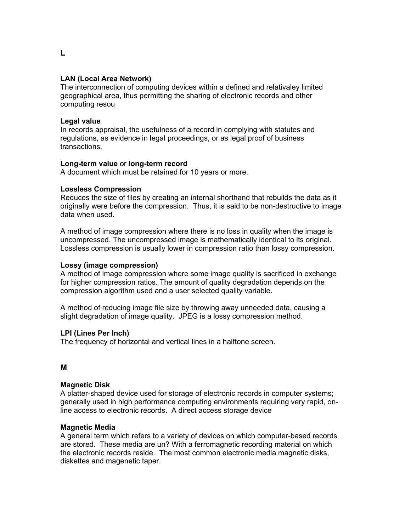# **LAN (Local Area Network)**

The interconnection of computing devices within a defined and relativaley limited geographical area, thus permitting the sharing of electronic records and other computing resou

### **Legal value**

In records appraisal, the usefulness of a record in complying with statutes and regulations, as evidence in legal proceedings, or as legal proof of business transactions.

### **Long-term value** or **long-term record**

A document which must be retained for 10 years or more.

### **Lossless Compression**

Reduces the size of files by creating an internal shorthand that rebuilds the data as it originally were before the compression. Thus, it is said to be non-destructive to image data when used.

A method of image compression where there is no loss in quality when the image is uncompressed. The uncompressed image is mathematically identical to its original. Lossless compression is usually lower in compression ratio than lossy compression.

### **Lossy (image compression)**

A method of image compression where some image quality is sacrificed in exchange for higher compression ratios. The amount of quality degradation depends on the compression algorithm used and a user selected quality variable.

A method of reducing image file size by throwing away unneeded data, causing a slight degradation of image quality. JPEG is a lossy compression method.

### **LPI (Lines Per Inch)**

The frequency of horizontal and vertical lines in a halftone screen.

# **M**

# **Magnetic Disk**

A platter-shaped device used for storage of electronic records in computer systems; generally used in high performance computing environments requiring very rapid, online access to electronic records. A direct access storage device

### **Magnetic Media**

A general term which refers to a variety of devices on which computer-based records are stored. These media are un? With a ferromagnetic recording material on which the electronic records reside. The most common electronic media magnetic disks, diskettes and magenetic taper.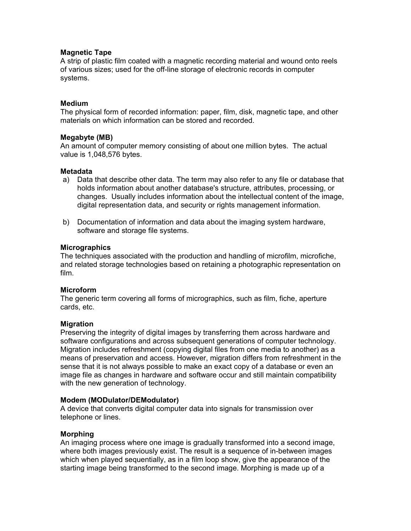### **Magnetic Tape**

A strip of plastic film coated with a magnetic recording material and wound onto reels of various sizes; used for the off-line storage of electronic records in computer systems.

### **Medium**

The physical form of recorded information: paper, film, disk, magnetic tape, and other materials on which information can be stored and recorded.

### **Megabyte (MB)**

An amount of computer memory consisting of about one million bytes. The actual value is 1,048,576 bytes.

### **Metadata**

- a) Data that describe other data. The term may also refer to any file or database that holds information about another database's structure, attributes, processing, or changes. Usually includes information about the intellectual content of the image, digital representation data, and security or rights management information.
- b) Documentation of information and data about the imaging system hardware, software and storage file systems.

### **Micrographics**

The techniques associated with the production and handling of microfilm, microfiche, and related storage technologies based on retaining a photographic representation on film.

### **Microform**

The generic term covering all forms of micrographics, such as film, fiche, aperture cards, etc.

### **Migration**

Preserving the integrity of digital images by transferring them across hardware and software configurations and across subsequent generations of computer technology. Migration includes refreshment (copying digital files from one media to another) as a means of preservation and access. However, migration differs from refreshment in the sense that it is not always possible to make an exact copy of a database or even an image file as changes in hardware and software occur and still maintain compatibility with the new generation of technology.

### **Modem (MODulator/DEModulator)**

A device that converts digital computer data into signals for transmission over telephone or lines.

### **Morphing**

An imaging process where one image is gradually transformed into a second image, where both images previously exist. The result is a sequence of in-between images which when played sequentially, as in a film loop show, give the appearance of the starting image being transformed to the second image. Morphing is made up of a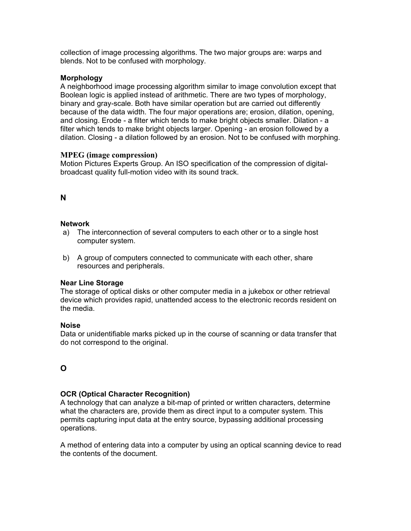collection of image processing algorithms. The two major groups are: warps and blends. Not to be confused with morphology.

### **Morphology**

A neighborhood image processing algorithm similar to image convolution except that Boolean logic is applied instead of arithmetic. There are two types of morphology, binary and gray-scale. Both have similar operation but are carried out differently because of the data width. The four major operations are; erosion, dilation, opening, and closing. Erode - a filter which tends to make bright objects smaller. Dilation - a filter which tends to make bright objects larger. Opening - an erosion followed by a dilation. Closing - a dilation followed by an erosion. Not to be confused with morphing.

### **MPEG (image compression)**

Motion Pictures Experts Group. An ISO specification of the compression of digitalbroadcast quality full-motion video with its sound track.

# **N**

### **Network**

- a) The interconnection of several computers to each other or to a single host computer system.
- b) A group of computers connected to communicate with each other, share resources and peripherals.

### **Near Line Storage**

The storage of optical disks or other computer media in a jukebox or other retrieval device which provides rapid, unattended access to the electronic records resident on the media.

### **Noise**

Data or unidentifiable marks picked up in the course of scanning or data transfer that do not correspond to the original.

# **O**

# **OCR (Optical Character Recognition)**

A technology that can analyze a bit-map of printed or written characters, determine what the characters are, provide them as direct input to a computer system. This permits capturing input data at the entry source, bypassing additional processing operations.

A method of entering data into a computer by using an optical scanning device to read the contents of the document.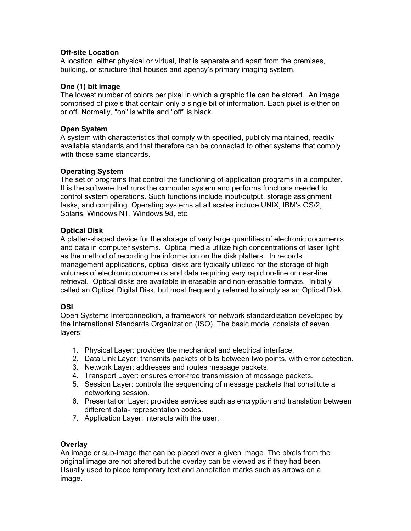# **Off-site Location**

A location, either physical or virtual, that is separate and apart from the premises, building, or structure that houses and agency's primary imaging system.

### **One (1) bit image**

The lowest number of colors per pixel in which a graphic file can be stored. An image comprised of pixels that contain only a single bit of information. Each pixel is either on or off. Normally, "on" is white and "off" is black.

# **Open System**

A system with characteristics that comply with specified, publicly maintained, readily available standards and that therefore can be connected to other systems that comply with those same standards.

### **Operating System**

The set of programs that control the functioning of application programs in a computer. It is the software that runs the computer system and performs functions needed to control system operations. Such functions include input/output, storage assignment tasks, and compiling. Operating systems at all scales include UNIX, IBM's OS/2, Solaris, Windows NT, Windows 98, etc.

# **Optical Disk**

A platter-shaped device for the storage of very large quantities of electronic documents and data in computer systems. Optical media utilize high concentrations of laser light as the method of recording the information on the disk platters. In records management applications, optical disks are typically utilized for the storage of high volumes of electronic documents and data requiring very rapid on-line or near-line retrieval. Optical disks are available in erasable and non-erasable formats. Initially called an Optical Digital Disk, but most frequently referred to simply as an Optical Disk.

# **OSI**

Open Systems Interconnection, a framework for network standardization developed by the International Standards Organization (ISO). The basic model consists of seven layers:

- 1. Physical Layer: provides the mechanical and electrical interface.
- 2. Data Link Layer: transmits packets of bits between two points, with error detection.
- 3. Network Layer: addresses and routes message packets.
- 4. Transport Layer: ensures error-free transmission of message packets.
- 5. Session Layer: controls the sequencing of message packets that constitute a networking session.
- 6. Presentation Layer: provides services such as encryption and translation between different data- representation codes.
- 7. Application Layer: interacts with the user.

# **Overlay**

An image or sub-image that can be placed over a given image. The pixels from the original image are not altered but the overlay can be viewed as if they had been. Usually used to place temporary text and annotation marks such as arrows on a image.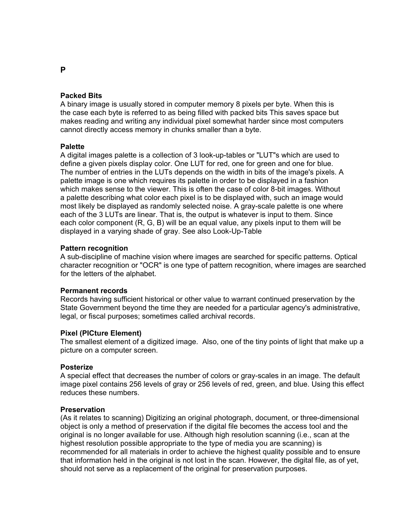### **Packed Bits**

A binary image is usually stored in computer memory 8 pixels per byte. When this is the case each byte is referred to as being filled with packed bits This saves space but makes reading and writing any individual pixel somewhat harder since most computers cannot directly access memory in chunks smaller than a byte.

#### **Palette**

A digital images palette is a collection of 3 look-up-tables or "LUT"s which are used to define a given pixels display color. One LUT for red, one for green and one for blue. The number of entries in the LUTs depends on the width in bits of the image's pixels. A palette image is one which requires its palette in order to be displayed in a fashion which makes sense to the viewer. This is often the case of color 8-bit images. Without a palette describing what color each pixel is to be displayed with, such an image would most likely be displayed as randomly selected noise. A gray-scale palette is one where each of the 3 LUTs are linear. That is, the output is whatever is input to them. Since each color component (R, G, B) will be an equal value, any pixels input to them will be displayed in a varying shade of gray. See also Look-Up-Table

### **Pattern recognition**

A sub-discipline of machine vision where images are searched for specific patterns. Optical character recognition or "OCR" is one type of pattern recognition, where images are searched for the letters of the alphabet.

### **Permanent records**

Records having sufficient historical or other value to warrant continued preservation by the State Government beyond the time they are needed for a particular agency's administrative, legal, or fiscal purposes; sometimes called archival records.

### **Pixel (PICture Element)**

The smallest element of a digitized image. Also, one of the tiny points of light that make up a picture on a computer screen.

### **Posterize**

A special effect that decreases the number of colors or gray-scales in an image. The default image pixel contains 256 levels of gray or 256 levels of red, green, and blue. Using this effect reduces these numbers.

#### **Preservation**

(As it relates to scanning) Digitizing an original photograph, document, or three-dimensional object is only a method of preservation if the digital file becomes the access tool and the original is no longer available for use. Although high resolution scanning (i.e., scan at the highest resolution possible appropriate to the type of media you are scanning) is recommended for all materials in order to achieve the highest quality possible and to ensure that information held in the original is not lost in the scan. However, the digital file, as of yet, should not serve as a replacement of the original for preservation purposes.

#### **P**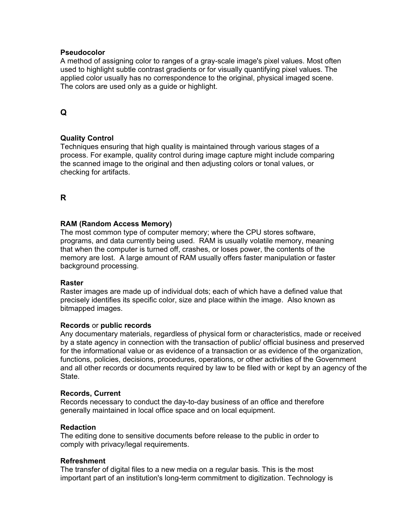### **Pseudocolor**

A method of assigning color to ranges of a gray-scale image's pixel values. Most often used to highlight subtle contrast gradients or for visually quantifying pixel values. The applied color usually has no correspondence to the original, physical imaged scene. The colors are used only as a guide or highlight.

# **Q**

# **Quality Control**

Techniques ensuring that high quality is maintained through various stages of a process. For example, quality control during image capture might include comparing the scanned image to the original and then adjusting colors or tonal values, or checking for artifacts.

# **R**

# **RAM (Random Access Memory)**

The most common type of computer memory; where the CPU stores software, programs, and data currently being used. RAM is usually volatile memory, meaning that when the computer is turned off, crashes, or loses power, the contents of the memory are lost. A large amount of RAM usually offers faster manipulation or faster background processing.

### **Raster**

Raster images are made up of individual dots; each of which have a defined value that precisely identifies its specific color, size and place within the image. Also known as bitmapped images.

### **Records** or **public records**

Any documentary materials, regardless of physical form or characteristics, made or received by a state agency in connection with the transaction of public/ official business and preserved for the informational value or as evidence of a transaction or as evidence of the organization, functions, policies, decisions, procedures, operations, or other activities of the Government and all other records or documents required by law to be filed with or kept by an agency of the State.

### **Records, Current**

Records necessary to conduct the day-to-day business of an office and therefore generally maintained in local office space and on local equipment.

### **Redaction**

The editing done to sensitive documents before release to the public in order to comply with privacy/legal requirements.

### **Refreshment**

The transfer of digital files to a new media on a regular basis. This is the most important part of an institution's long-term commitment to digitization. Technology is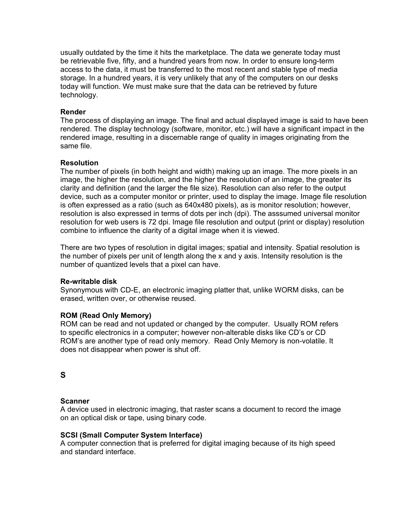usually outdated by the time it hits the marketplace. The data we generate today must be retrievable five, fifty, and a hundred years from now. In order to ensure long-term access to the data, it must be transferred to the most recent and stable type of media storage. In a hundred years, it is very unlikely that any of the computers on our desks today will function. We must make sure that the data can be retrieved by future technology.

### **Render**

The process of displaying an image. The final and actual displayed image is said to have been rendered. The display technology (software, monitor, etc.) will have a significant impact in the rendered image, resulting in a discernable range of quality in images originating from the same file.

### **Resolution**

The number of pixels (in both height and width) making up an image. The more pixels in an image, the higher the resolution, and the higher the resolution of an image, the greater its clarity and definition (and the larger the file size). Resolution can also refer to the output device, such as a computer monitor or printer, used to display the image. Image file resolution is often expressed as a ratio (such as 640x480 pixels), as is monitor resolution; however, resolution is also expressed in terms of dots per inch (dpi). The asssumed universal monitor resolution for web users is 72 dpi. Image file resolution and output (print or display) resolution combine to influence the clarity of a digital image when it is viewed.

There are two types of resolution in digital images; spatial and intensity. Spatial resolution is the number of pixels per unit of length along the x and y axis. Intensity resolution is the number of quantized levels that a pixel can have.

### **Re-writable disk**

Synonymous with CD-E, an electronic imaging platter that, unlike WORM disks, can be erased, written over, or otherwise reused.

# **ROM (Read Only Memory)**

ROM can be read and not updated or changed by the computer. Usually ROM refers to specific electronics in a computer; however non-alterable disks like CD's or CD ROM's are another type of read only memory. Read Only Memory is non-volatile. It does not disappear when power is shut off.

# **S**

### **Scanner**

A device used in electronic imaging, that raster scans a document to record the image on an optical disk or tape, using binary code.

### **SCSI (Small Computer System Interface)**

A computer connection that is preferred for digital imaging because of its high speed and standard interface.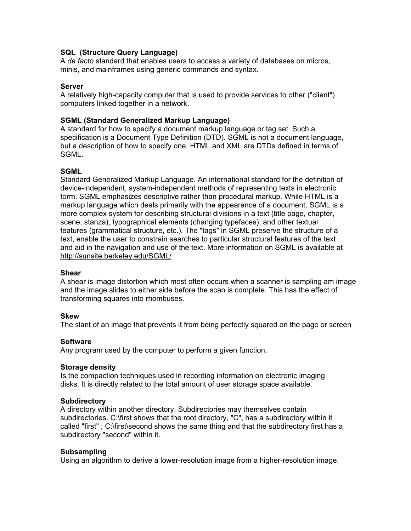### **SQL (Structure Query Language)**

A *de facto* standard that enables users to access a variety of databases on micros, minis, and mainframes using generic commands and syntax.

### **Server**

A relatively high-capacity computer that is used to provide services to other ("client") computers linked together in a network.

### **SGML (Standard Generalized Markup Language)**

A standard for how to specify a document markup language or tag set. Such a specification is a Document Type Definition (DTD). SGML is not a document language, but a description of how to specify one. HTML and XML are DTDs defined in terms of SGML.

### **SGML**

Standard Generalized Markup Language. An international standard for the definition of device-independent, system-independent methods of representing texts in electronic form. SGML emphasizes descriptive rather than procedural markup. While HTML is a markup language which deals primarily with the appearance of a document, SGML is a more complex system for describing structural divisions in a text (title page, chapter, scene, stanza), typographical elements (changing typefaces), and other textual features (grammatical structure, etc.). The "tags" in SGML preserve the structure of a text, enable the user to constrain searches to particular structural features of the text and aid in the navigation and use of the text. More information on SGML is available at <http://sunsite.berkeley.edu/SGML/>

### **Shear**

A shear is image distortion which most often occurs when a scanner is sampling am image and the image slides to either side before the scan is complete. This has the effect of transforming squares into rhombuses.

### **Skew**

The slant of an image that prevents it from being perfectly squared on the page or screen

### **Software**

Any program used by the computer to perform a given function.

### **Storage density**

Is the compaction techniques used in recording information on electronic imaging disks. It is directly related to the total amount of user storage space available.

### **Subdirectory**

A directory within another directory. Subdirectories may themselves contain subdirectories. C:\first shows that the root directory, "C", has a subdirectory within it called "first" ; C:\first\second shows the same thing and that the subdirectory first has a subdirectory "second" within it.

### **Subsampling**

Using an algorithm to derive a lower-resolution image from a higher-resolution image.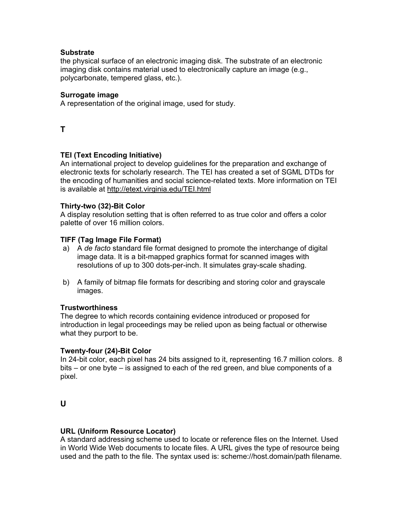# **Substrate**

the physical surface of an electronic imaging disk. The substrate of an electronic imaging disk contains material used to electronically capture an image (e.g., polycarbonate, tempered glass, etc.).

# **Surrogate image**

A representation of the original image, used for study.

**T** 

# **TEI (Text Encoding Initiative)**

An international project to develop guidelines for the preparation and exchange of electronic texts for scholarly research. The TEI has created a set of SGML DTDs for the encoding of humanities and social science-related texts. More information on TEI is available at <http://etext.virginia.edu/TEI.html>

### **Thirty-two (32)-Bit Color**

A display resolution setting that is often referred to as true color and offers a color palette of over 16 million colors.

### **TIFF (Tag Image File Format)**

- a) A *de facto* standard file format designed to promote the interchange of digital image data. It is a bit-mapped graphics format for scanned images with resolutions of up to 300 dots-per-inch. It simulates gray-scale shading.
- b) A family of bitmap file formats for describing and storing color and grayscale images.

# **Trustworthiness**

The degree to which records containing evidence introduced or proposed for introduction in legal proceedings may be relied upon as being factual or otherwise what they purport to be.

### **Twenty-four (24)-Bit Color**

In 24-bit color, each pixel has 24 bits assigned to it, representing 16.7 million colors. 8 bits – or one byte – is assigned to each of the red green, and blue components of a pixel.

# **U**

### **URL (Uniform Resource Locator)**

A standard addressing scheme used to locate or reference files on the Internet. Used in World Wide Web documents to locate files. A URL gives the type of resource being used and the path to the file. The syntax used is: scheme://host.domain/path filename.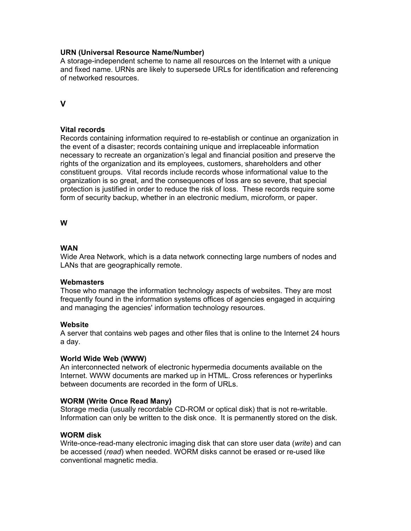### **URN (Universal Resource Name/Number)**

A storage-independent scheme to name all resources on the Internet with a unique and fixed name. URNs are likely to supersede URLs for identification and referencing of networked resources.

**V** 

# **Vital records**

Records containing information required to re-establish or continue an organization in the event of a disaster; records containing unique and irreplaceable information necessary to recreate an organization's legal and financial position and preserve the rights of the organization and its employees, customers, shareholders and other constituent groups. Vital records include records whose informational value to the organization is so great, and the consequences of loss are so severe, that special protection is justified in order to reduce the risk of loss. These records require some form of security backup, whether in an electronic medium, microform, or paper.

**W** 

### **WAN**

Wide Area Network, which is a data network connecting large numbers of nodes and LANs that are geographically remote.

### **Webmasters**

Those who manage the information technology aspects of websites. They are most frequently found in the information systems offices of agencies engaged in acquiring and managing the agencies' information technology resources.

### **Website**

A server that contains web pages and other files that is online to the Internet 24 hours a day.

### **World Wide Web (WWW)**

An interconnected network of electronic hypermedia documents available on the Internet. WWW documents are marked up in HTML. Cross references or hyperlinks between documents are recorded in the form of URLs.

# **WORM (Write Once Read Many)**

Storage media (usually recordable CD-ROM or optical disk) that is not re-writable. Information can only be written to the disk once. It is permanently stored on the disk.

### **WORM disk**

Write-once-read-many electronic imaging disk that can store user data (*write*) and can be accessed (*read*) when needed. WORM disks cannot be erased or re-used like conventional magnetic media.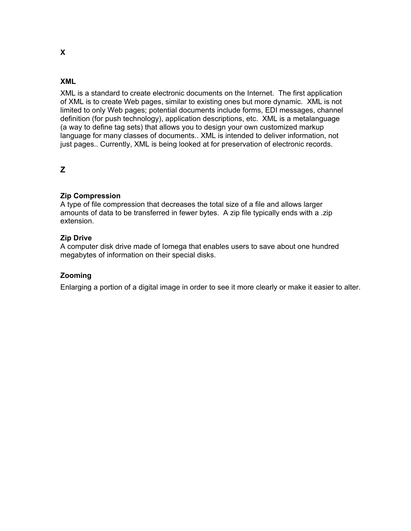# **XML**

XML is a standard to create electronic documents on the Internet. The first application of XML is to create Web pages, similar to existing ones but more dynamic. XML is not limited to only Web pages; potential documents include forms, EDI messages, channel definition (for push technology), application descriptions, etc. XML is a metalanguage (a way to define tag sets) that allows you to design your own customized markup language for many classes of documents.. XML is intended to deliver information, not just pages.. Currently, XML is being looked at for preservation of electronic records.

# **Z**

# **Zip Compression**

A type of file compression that decreases the total size of a file and allows larger amounts of data to be transferred in fewer bytes. A zip file typically ends with a .zip extension.

### **Zip Drive**

A computer disk drive made of Iomega that enables users to save about one hundred megabytes of information on their special disks.

# **Zooming**

Enlarging a portion of a digital image in order to see it more clearly or make it easier to alter.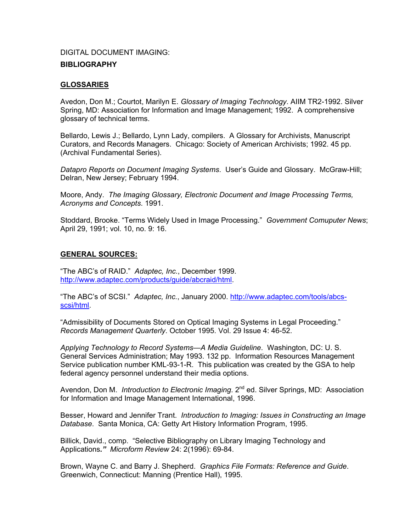# DIGITAL DOCUMENT IMAGING: **BIBLIOGRAPHY**

# **GLOSSARIES**

Avedon, Don M.; Courtot, Marilyn E. *Glossary of Imaging Technology*. AIIM TR2-1992. Silver Spring, MD: Association for Information and Image Management; 1992. A comprehensive glossary of technical terms.

Bellardo, Lewis J.; Bellardo, Lynn Lady, compilers. A Glossary for Archivists, Manuscript Curators, and Records Managers. Chicago: Society of American Archivists; 1992. 45 pp. (Archival Fundamental Series).

*Datapro Reports on Document Imaging Systems*. User's Guide and Glossary. McGraw-Hill; Delran, New Jersey; February 1994.

Moore, Andy. *The Imaging Glossary, Electronic Document and Image Processing Terms, Acronyms and Concepts*. 1991.

Stoddard, Brooke. "Terms Widely Used in Image Processing." *Government Comuputer News*; April 29, 1991; vol. 10, no. 9: 16.

### **GENERAL SOURCES:**

"The ABC's of RAID." *Adaptec, Inc.*, December 1999. [http://www.adaptec.com/products/guide/abcraid/html.](http://www.adaptec.com/products/guide/abcraid/html)

"The ABC's of SCSI." *Adaptec, Inc.*, January 2000. [http://www.adaptec.com/tools/abcs](http://www.adaptec.com/tools/abcs-scsi/html)[scsi/html.](http://www.adaptec.com/tools/abcs-scsi/html)

"Admissibility of Documents Stored on Optical Imaging Systems in Legal Proceeding." *Records Management Quarterly*. October 1995. Vol. 29 Issue 4: 46-52.

*Applying Technology to Record Systems—A Media Guideline*. Washington, DC: U. S. General Services Administration; May 1993. 132 pp. Information Resources Management Service publication number KML-93-1-R. This publication was created by the GSA to help federal agency personnel understand their media options.

Avendon, Don M. *Introduction to Electronic Imaging*. 2<sup>nd</sup> ed. Silver Springs, MD: Association for Information and Image Management International, 1996.

Besser, Howard and Jennifer Trant. *Introduction to Imaging: Issues in Constructing an Image Database*. Santa Monica, CA: Getty Art History Information Program, 1995.

Billick, David., comp. "Selective Bibliography on Library Imaging Technology and Applications*." Microform Review* 24: 2(1996): 69-84.

Brown, Wayne C. and Barry J. Shepherd. *Graphics File Formats: Reference and Guide*. Greenwich, Connecticut: Manning (Prentice Hall), 1995.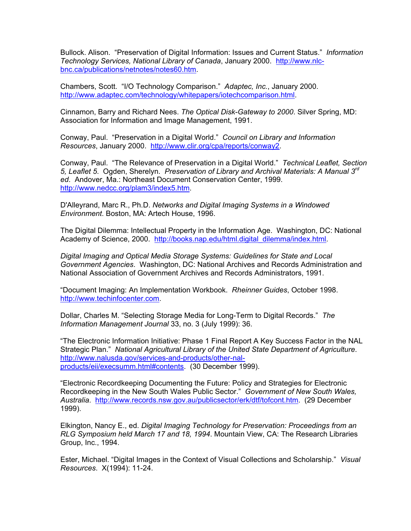Bullock. Alison. "Preservation of Digital Information: Issues and Current Status." *Information Technology Services, National Library of Canada*, January 2000. [http://www.nlc](http://www.nlc-bnc.ca/publications/netnotes/notes60.htm)[bnc.ca/publications/netnotes/notes60.htm](http://www.nlc-bnc.ca/publications/netnotes/notes60.htm).

Chambers, Scott. "I/O Technology Comparison." *Adaptec, Inc.*, January 2000. <http://www.adaptec.com/technology/whitepapers/iotechcomparison.html>.

Cinnamon, Barry and Richard Nees. *The Optical Disk-Gateway to 2000*. Silver Spring, MD: Association for Information and Image Management, 1991.

Conway, Paul. "Preservation in a Digital World." *Council on Library and Information Resources*, January 2000. <http://www.clir.org/cpa/reports/conway2>.

Conway, Paul. "The Relevance of Preservation in a Digital World." *Technical Leaflet, Section 5, Leaflet 5*. Ogden, Sherelyn. *Preservation of Library and Archival Materials: A Manual 3rd ed*. Andover, Ma.: Northeast Document Conservation Center, 1999. [http://www.nedcc.org/plam3/index5.htm.](http://www.nedcc.org/plam3/index5.htm)

D'Alleyrand, Marc R., Ph.D. *Networks and Digital Imaging Systems in a Windowed Environment*. Boston, MA: Artech House, 1996.

The Digital Dilemma: Intellectual Property in the Information Age. Washington, DC: National Academy of Science, 2000. [http://books.nap.edu/html.digital\\_dilemma/index.html](http://books.nap.edu/html.digital_dilemma/index.html).

*Digital Imaging and Optical Media Storage Systems: Guidelines for State and Local Government Agencies*. Washington, DC: National Archives and Records Administration and National Association of Government Archives and Records Administrators, 1991.

"Document Imaging: An Implementation Workbook. *Rheinner Guides*, October 1998. [http://www.techinfocenter.com](http://www.techinfocenter.com/).

Dollar, Charles M. "Selecting Storage Media for Long-Term to Digital Records." *The Information Management Journal* 33, no. 3 (July 1999): 36.

"The Electronic Information Initiative: Phase 1 Final Report A Key Success Factor in the NAL Strategic Plan." *National Agricultural Library of the United State Department of Agriculture*. [http://www.nalusda.gov/services-and-products/other-nal](http://www.nalusda.gov/services-and-products/other-nal-products/eii/execsumm.html)[products/eii/execsumm.html#contents](http://www.nalusda.gov/services-and-products/other-nal-products/eii/execsumm.html). (30 December 1999).

"Electronic Recordkeeping Documenting the Future: Policy and Strategies for Electronic Recordkeeping in the New South Wales Public Sector." *Government of New South Wales, Australia*. [http://www.records.nsw.gov.au/publicsector/erk/dtf/tofcont.htm.](http://www.records.nsw.gov.au/publicsector/erk/dtf/tofcont.htm) (29 December 1999).

Elkington, Nancy E., ed. *Digital Imaging Technology for Preservation: Proceedings from an RLG Symposium held March 17 and 18, 1994*. Mountain View, CA: The Research Libraries Group, Inc., 1994.

Ester, Michael. "Digital Images in the Context of Visual Collections and Scholarship." *Visual Resources*. X(1994): 11-24.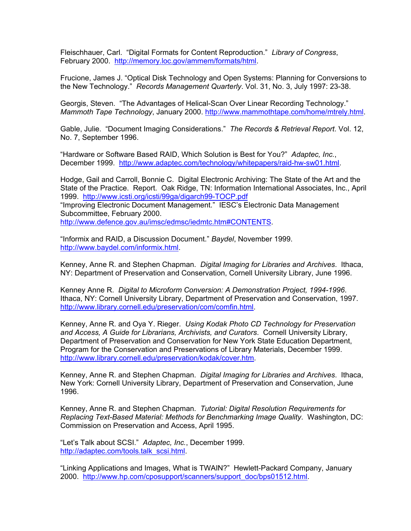Fleischhauer, Carl. "Digital Formats for Content Reproduction." *Library of Congress*, February 2000. <http://memory.loc.gov/ammem/formats/html>.

Frucione, James J. "Optical Disk Technology and Open Systems: Planning for Conversions to the New Technology." *Records Management Quarterly*. Vol. 31, No. 3, July 1997: 23-38.

Georgis, Steven. "The Advantages of Helical-Scan Over Linear Recording Technology." *Mammoth Tape Technology*, January 2000. [http://www.mammothtape.com/home/mtrely.html.](http://www.mammothtape.com/home/mtrely.html)

Gable, Julie. "Document Imaging Considerations." *The Records & Retrieval Report*. Vol. 12, No. 7, September 1996.

"Hardware or Software Based RAID, Which Solution is Best for You?" *Adaptec, Inc.*, December 1999. [http://www.adaptec.com/technology/whitepapers/raid-hw-sw01.html.](http://www.adaptec.com/technology/whitepapers/raid-hw-sw01.html)

Hodge, Gail and Carroll, Bonnie C. Digital Electronic Archiving: The State of the Art and the State of the Practice. Report. Oak Ridge, TN: Information International Associates, Inc., April 1999. <http://www.icsti.org/icsti/99ga/digarch99-TOCP.pdf> "Improving Electronic Document Management." IESC's Electronic Data Management Subcommittee, February 2000. [http://www.defence.gov.au/imsc/edmsc/iedmtc.htm#CONTENTS](http://www.defence.gov.au/imsc/edmsc/iedmtc.htm).

"Informix and RAID, a Discussion Document." *Baydel*, November 1999. <http://www.baydel.com/informix.html>.

Kenney, Anne R. and Stephen Chapman. *Digital Imaging for Libraries and Archives*. Ithaca, NY: Department of Preservation and Conservation, Cornell University Library, June 1996.

Kenney Anne R. *Digital to Microform Conversion: A Demonstration Project, 1994-1996*. Ithaca, NY: Cornell University Library, Department of Preservation and Conservation, 1997. [http://www.library.cornell.edu/preservation/com/comfin.html.](http://www.library.cornell.edu/preservation/com/comfin.html)

Kenney, Anne R. and Oya Y. Rieger. *Using Kodak Photo CD Technology for Preservation and Access, A Guide for Librarians, Archivists, and Curators*. Cornell University Library, Department of Preservation and Conservation for New York State Education Department, Program for the Conservation and Preservations of Library Materials, December 1999. [http://www.library.cornell.edu/preservation/kodak/cover.htm.](http://www.library.cornell.edu/preservation/kodak/cover.htm)

Kenney, Anne R. and Stephen Chapman. *Digital Imaging for Libraries and Archives*. Ithaca, New York: Cornell University Library, Department of Preservation and Conservation, June 1996.

Kenney, Anne R. and Stephen Chapman. *Tutorial: Digital Resolution Requirements for Replacing Text-Based Material: Methods for Benchmarking Image Quality*. Washington, DC: Commission on Preservation and Access, April 1995.

"Let's Talk about SCSI." *Adaptec, Inc.*, December 1999. [http://adaptec.com/tools.talk\\_scsi.html.](http://adaptec.com/tools.talk_scsi.html)

"Linking Applications and Images, What is TWAIN?" Hewlett-Packard Company, January 2000. [http://www.hp.com/cposupport/scanners/support\\_doc/bps01512.html](http://www.hp.com/cposupport/scanners/support_doc/bps01512.html).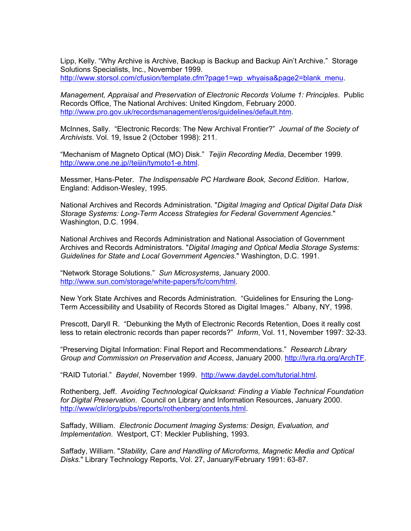Lipp, Kelly. "Why Archive is Archive, Backup is Backup and Backup Ain't Archive." Storage Solutions Specialists, Inc., November 1999. [http://www.storsol.com/cfusion/template.cfm?page1=wp\\_whyaisa&page2=blank\\_menu.](http://www.storsol.com/cfusion/template.cfm?page1=wp_whyaisa&page2=blank_menu)

*Management, Appraisal and Preservation of Electronic Records Volume 1: Principles*. Public Records Office, The National Archives: United Kingdom, February 2000. <http://www.pro.gov.uk/recordsmanagement/eros/guidelines/default.htm>.

McInnes, Sally. "Electronic Records: The New Archival Frontier?" *Journal of the Society of Archivists*. Vol. 19, Issue 2 (October 1998): 211.

"Mechanism of Magneto Optical (MO) Disk." *Teijin Recording Media*, December 1999. <http://www.one.ne.jp//teijin/tymoto1-e.html>.

Messmer, Hans-Peter. *The Indispensable PC Hardware Book, Second Edition*. Harlow, England: Addison-Wesley, 1995.

National Archives and Records Administration. "*Digital Imaging and Optical Digital Data Disk Storage Systems: Long-Term Access Strategies for Federal Government Agencies*." Washington, D.C. 1994.

National Archives and Records Administration and National Association of Government Archives and Records Administrators. "*Digital Imaging and Optical Media Storage Systems: Guidelines for State and Local Government Agencies*." Washington, D.C. 1991.

"Network Storage Solutions." *Sun Microsystems*, January 2000. <http://www.sun.com/storage/white-papers/fc/com/html>.

New York State Archives and Records Administration. "Guidelines for Ensuring the Long-Term Accessibility and Usability of Records Stored as Digital Images." Albany, NY, 1998.

Prescott, Daryll R. "Debunking the Myth of Electronic Records Retention, Does it really cost less to retain electronic records than paper records?" *Inform*, Vol. 11, November 1997: 32-33.

"Preserving Digital Information: Final Report and Recommendations." *Research Library Group and Commission on Preservation and Access*, January 2000. [http://lyra.rlg.org/ArchTF.](http://lyra.rlg.org/ArchTF)

"RAID Tutorial." *Baydel*, November 1999. <http://www.daydel.com/tutorial.html>.

Rothenberg, Jeff. *Avoiding Technological Quicksand: Finding a Viable Technical Foundation for Digital Preservation*. Council on Library and Information Resources, January 2000. <http://www/clir/org/pubs/reports/rothenberg/contents.html>.

Saffady, William. *Electronic Document Imaging Systems: Design, Evaluation, and Implementation*. Westport, CT: Meckler Publishing, 1993.

Saffady, William. "*Stability, Care and Handling of Microforms, Magnetic Media and Optical Disks*." Library Technology Reports, Vol. 27, January/February 1991: 63-87.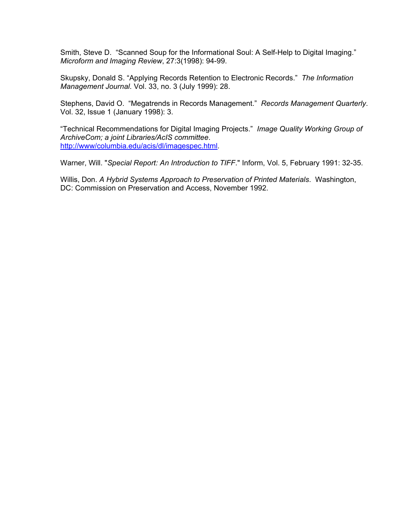Smith, Steve D. "Scanned Soup for the Informational Soul: A Self-Help to Digital Imaging." *Microform and Imaging Review*, 27:3(1998): 94-99.

Skupsky, Donald S. "Applying Records Retention to Electronic Records." *The Information Management Journal*. Vol. 33, no. 3 (July 1999): 28.

Stephens, David O. "Megatrends in Records Management." *Records Management Quarterly*. Vol. 32, Issue 1 (January 1998): 3.

"Technical Recommendations for Digital Imaging Projects." *Image Quality Working Group of ArchiveCom; a joint Libraries/AcIS committee*. <http://www/columbia.edu/acis/dl/imagespec.html>.

Warner, Will. "*Special Report: An Introduction to TIFF*." Inform, Vol. 5, February 1991: 32-35.

Willis, Don. *A Hybrid Systems Approach to Preservation of Printed Materials*. Washington, DC: Commission on Preservation and Access, November 1992.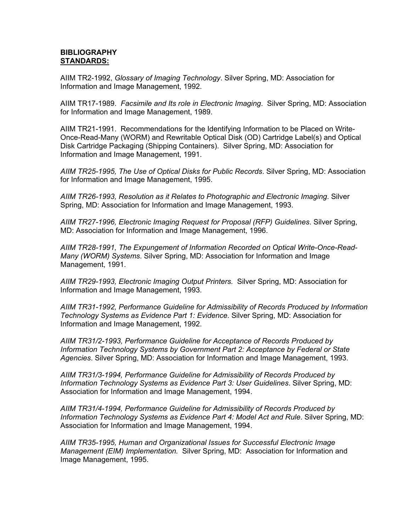# **BIBLIOGRAPHY STANDARDS:**

AIIM TR2-1992, *Glossary of Imaging Technology*. Silver Spring, MD: Association for Information and Image Management, 1992.

AIIM TR17-1989. *Facsimile and Its role in Electronic Imaging*. Silver Spring, MD: Association for Information and Image Management, 1989.

AIIM TR21-1991. Recommendations for the Identifying Information to be Placed on Write-Once-Read-Many (WORM) and Rewritable Optical Disk (OD) Cartridge Label(s) and Optical Disk Cartridge Packaging (Shipping Containers). Silver Spring, MD: Association for Information and Image Management, 1991.

*AIIM TR25-1995, The Use of Optical Disks for Public Records*. Silver Spring, MD: Association for Information and Image Management, 1995.

*AIIM TR26-1993, Resolution as it Relates to Photographic and Electronic Imaging*. Silver Spring, MD: Association for Information and Image Management, 1993.

*AIIM TR27-1996, Electronic Imaging Request for Proposal (RFP) Guidelines*. Silver Spring, MD: Association for Information and Image Management, 1996.

*AIIM TR28-1991, The Expungement of Information Recorded on Optical Write-Once-Read-Many (WORM) Systems*. Silver Spring, MD: Association for Information and Image Management, 1991.

*AIIM TR29-1993, Electronic Imaging Output Printers.* Silver Spring, MD: Association for Information and Image Management, 1993.

*AIIM TR31-1992, Performance Guideline for Admissibility of Records Produced by Information Technology Systems as Evidence Part 1: Evidence*. Silver Spring, MD: Association for Information and Image Management, 1992.

*AIIM TR31/2-1993, Performance Guideline for Acceptance of Records Produced by Information Technology Systems by Government Part 2: Acceptance by Federal or State Agencies*. Silver Spring, MD: Association for Information and Image Management, 1993.

*AIIM TR31/3-1994, Performance Guideline for Admissibility of Records Produced by Information Technology Systems as Evidence Part 3: User Guidelines*. Silver Spring, MD: Association for Information and Image Management, 1994.

*AIIM TR31/4-1994, Performance Guideline for Admissibility of Records Produced by Information Technology Systems as Evidence Part 4: Model Act and Rule*. Silver Spring, MD: Association for Information and Image Management, 1994.

*AIIM TR35-1995, Human and Organizational Issues for Successful Electronic Image Management (EIM) Implementation.* Silver Spring, MD: Association for Information and Image Management, 1995.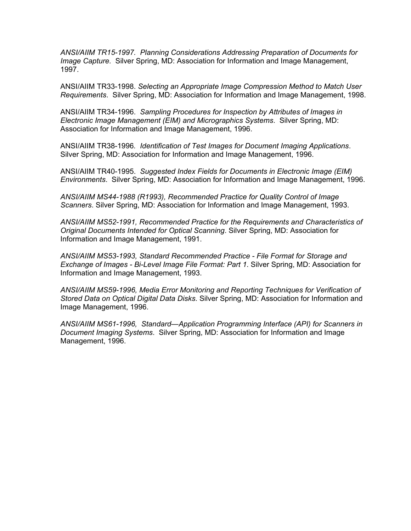*ANSI/AIIM TR15-1997. Planning Considerations Addressing Preparation of Documents for Image Capture.* Silver Spring, MD: Association for Information and Image Management, 1997.

ANSI/AIIM TR33-1998. *Selecting an Appropriate Image Compression Method to Match User Requirements*. Silver Spring, MD: Association for Information and Image Management, 1998.

ANSI/AIIM TR34-1996. *Sampling Procedures for Inspection by Attributes of Images in Electronic Image Management (EIM) and Micrographics Systems*. Silver Spring, MD: Association for Information and Image Management, 1996.

ANSI/AIIM TR38-1996*. Identification of Test Images for Document Imaging Applications*. Silver Spring, MD: Association for Information and Image Management, 1996.

ANSI/AIIM TR40-1995. *Suggested Index Fields for Documents in Electronic Image (EIM) Environments*. Silver Spring, MD: Association for Information and Image Management, 1996.

*ANSI/AIIM MS44-1988 (R1993), Recommended Practice for Quality Control of Image Scanners*. Silver Spring, MD: Association for Information and Image Management, 1993.

*ANSI/AIIM MS52-1991, Recommended Practice for the Requirements and Characteristics of Original Documents Intended for Optical Scanning*. Silver Spring, MD: Association for Information and Image Management, 1991.

*ANSI/AIIM MS53-1993, Standard Recommended Practice - File Format for Storage and Exchange of Images - Bi-Level Image File Format: Part 1*. Silver Spring, MD: Association for Information and Image Management, 1993.

*ANSI/AIIM MS59-1996, Media Error Monitoring and Reporting Techniques for Verification of Stored Data on Optical Digital Data Disks*. Silver Spring, MD: Association for Information and Image Management, 1996.

*ANSI/AIIM MS61-1996, Standard—Application Programming Interface (API) for Scanners in Document Imaging Systems*. Silver Spring, MD: Association for Information and Image Management, 1996.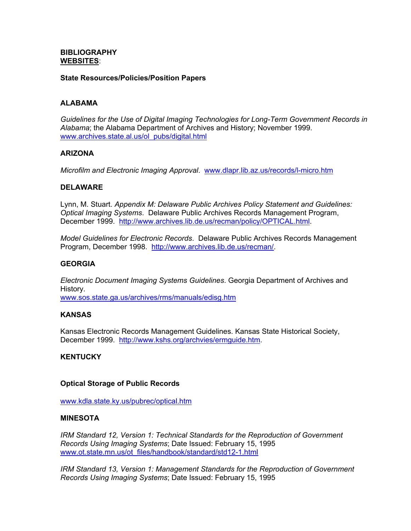### **BIBLIOGRAPHY WEBSITES**:

### **State Resources/Policies/Position Papers**

# **ALABAMA**

*Guidelines for the Use of Digital Imaging Technologies for Long-Term Government Records in Alabama*; the Alabama Department of Archives and History; November 1999. [www.archives.state.al.us/ol\\_pubs/digital.html](http://www.archives.state.al.us/ol-pubs/digital.html)

### **ARIZONA**

*Microfilm and Electronic Imaging Approval*. [www.dlapr.lib.az.us/records/l-micro.htm](http://www.dlapr.lib.az.us/records/l-micro.htm)

### **DELAWARE**

Lynn, M. Stuart. *Appendix M: Delaware Public Archives Policy Statement and Guidelines: Optical Imaging Systems*. Delaware Public Archives Records Management Program, December 1999. [http://www.archives.lib.de.us/recman/policy/OPTICAL.html.](http://www.archives.lib.de.us/recman/policy/OPTICAL.html)

*Model Guidelines for Electronic Records*. Delaware Public Archives Records Management Program, December 1998. [http://www.archives.lib.de.us/recman/.](http://www.archives.lib.de.us/recman/)

### **GEORGIA**

*Electronic Document Imaging Systems Guidelines*. Georgia Department of Archives and History.

[www.sos.state.ga.us/archives/rms/manuals/edisg.htm](http://www.sos.state.ga.us/archives/rms/manuals/edisg.htm)

# **KANSAS**

Kansas Electronic Records Management Guidelines. Kansas State Historical Society, December 1999. [http://www.kshs.org/archvies/ermguide.htm.](http://www.kshs.org/archvies/ermguide.htm)

### **KENTUCKY**

### **Optical Storage of Public Records**

[www.kdla.state.ky.us/pubrec/optical.htm](http://www.kdla.state.ky.us/pubrec/optical.htm)

### **MINESOTA**

*IRM Standard 12, Version 1: Technical Standards for the Reproduction of Government Records Using Imaging Systems*; Date Issued: February 15, 1995 [www.ot.state.mn.us/ot\\_files/handbook/standard/std12-1.html](http://www.ot.state.mn.us/ot-files/handbook/standard/std12-1.html)

*IRM Standard 13, Version 1: Management Standards for the Reproduction of Government Records Using Imaging Systems*; Date Issued: February 15, 1995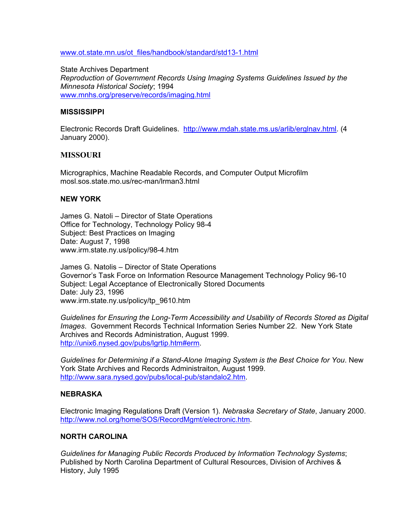[www.ot.state.mn.us/ot\\_files/handbook/standard/std13-1.html](http://www.ot.state.mn.us/ot_files/handbook/standard/std13-1.html)

State Archives Department *Reproduction of Government Records Using Imaging Systems Guidelines Issued by the Minnesota Historical Society*; 1994 [www.mnhs.org/preserve/records/imaging.html](http://www.mnhs.org/preserve/records/imaging.html)

### **MISSISSIPPI**

Electronic Records Draft Guidelines. <http://www.mdah.state.ms.us/arlib/erglnav.html>. (4 January 2000).

# **MISSOURI**

Micrographics, Machine Readable Records, and Computer Output Microfilm mosl.sos.state.mo.us/rec-man/lrman3.html

# **NEW YORK**

James G. Natoli – Director of State Operations Office for Technology, Technology Policy 98-4 Subject: Best Practices on Imaging Date: August 7, 1998 www.irm.state.ny.us/policy/98-4.htm

James G. Natolis – Director of State Operations Governor's Task Force on Information Resource Management Technology Policy 96-10 Subject: Legal Acceptance of Electronically Stored Documents Date: July 23, 1996 www.irm.state.ny.us/policy/tp\_9610.htm

*Guidelines for Ensuring the Long-Term Accessibility and Usability of Records Stored as Digital Images*. Government Records Technical Information Series Number 22. New York State Archives and Records Administration, August 1999. [http://unix6.nysed.gov/pubs/lgrtip.htm#erm](http://unix6.nysed.gov/pubs/lgrtip.htm).

*Guidelines for Determining if a Stand-Alone Imaging System is the Best Choice for You*. New York State Archives and Records Administraiton, August 1999. [http://www.sara.nysed.gov/pubs/local-pub/standalo2.htm.](http://www.sara.nysed.gov/pubs/local-pub/standalo2.htm)

### **NEBRASKA**

Electronic Imaging Regulations Draft (Version 1). *Nebraska Secretary of State*, January 2000. <http://www.nol.org/home/SOS/RecordMgmt/electronic.htm>.

### **NORTH CAROLINA**

*Guidelines for Managing Public Records Produced by Information Technology Systems*; Published by North Carolina Department of Cultural Resources, Division of Archives & History, July 1995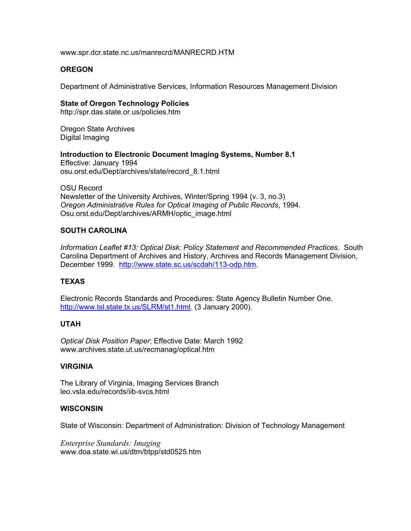www.spr.dcr.state.nc.us/manrecrd/MANRECRD.HTM

### **OREGON**

Department of Administrative Services, Information Resources Management Division

#### **State of Oregon Technology Policies**

http://spr.das.state.or.us/policies.htm

Oregon State Archives Digital Imaging

# **Introduction to Electronic Document Imaging Systems, Number 8.1**

Effective: January 1994 osu.orst.edu/Dept/archives/state/record\_8.1.html

OSU Record Newsletter of the University Archives, Winter/Spring 1994 (v. 3, no.3) *Oregon Administrative Rules for Optical Imaging of Public Records*, 1994. Osu.orst.edu/Dept/archives/ARMH/optic\_image.html

### **SOUTH CAROLINA**

*Information Leaflet #13: Optical Disk: Policy Statement and Recommended Practices*. South Carolina Department of Archives and History, Archives and Records Management Division, December 1999. [http://www.state.sc.us/scdah/113-odp.htm.](http://www.state.sc.us/scdah/113-odp.htm)

# **TEXAS**

Electronic Records Standards and Procedures: State Agency Bulletin Number One. [http://www.tsl.state.tx.us/SLRM/st1.html.](http://www.tsl.state.tx.us/SLRM/st1.html) (3 January 2000).

### **UTAH**

*Optical Disk Position Paper*; Effective Date: March 1992 www.archives.state.ut.us/recmanag/optical.htm

### **VIRGINIA**

The Library of Virginia, Imaging Services Branch leo.vsla.edu/records/iib-svcs.html

### **WISCONSIN**

State of Wisconsin: Department of Administration: Division of Technology Management

*Enterprise Standards: Imaging*  www.doa.state.wi.us/dtm/btpp/std0525.htm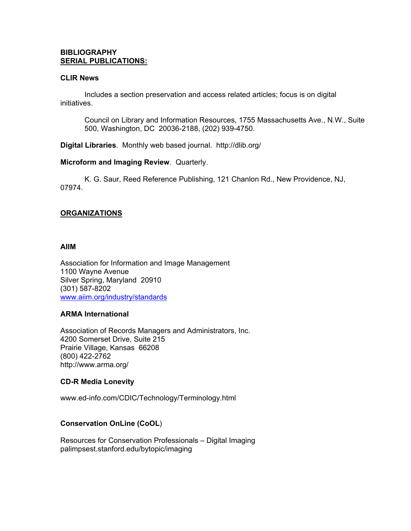### **BIBLIOGRAPHY SERIAL PUBLICATIONS:**

### **CLIR News**

 Includes a section preservation and access related articles; focus is on digital initiatives.

Council on Library and Information Resources, 1755 Massachusetts Ave., N.W., Suite 500, Washington, DC 20036-2188, (202) 939-4750.

**Digital Libraries**. Monthly web based journal. http://dlib.org/

**Microform and Imaging Review**. Quarterly.

 K. G. Saur, Reed Reference Publishing, 121 Chanlon Rd., New Providence, NJ, 07974.

# **ORGANIZATIONS**

### **AIIM**

Association for Information and Image Management 1100 Wayne Avenue Silver Spring, Maryland 20910 (301) 587-8202 [www.aiim.org/industry/standards](http://www.aiim.org/industry/standards)

### **ARMA International**

Association of Records Managers and Administrators, Inc. 4200 Somerset Drive, Suite 215 Prairie Village, Kansas 66208 (800) 422-2762 http://www.arma.org/

### **CD-R Media Lonevity**

www.ed-info.com/CDIC/Technology/Terminology.html

### **Conservation OnLine (CoOL**)

Resources for Conservation Professionals – Digital Imaging palimpsest.stanford.edu/bytopic/imaging